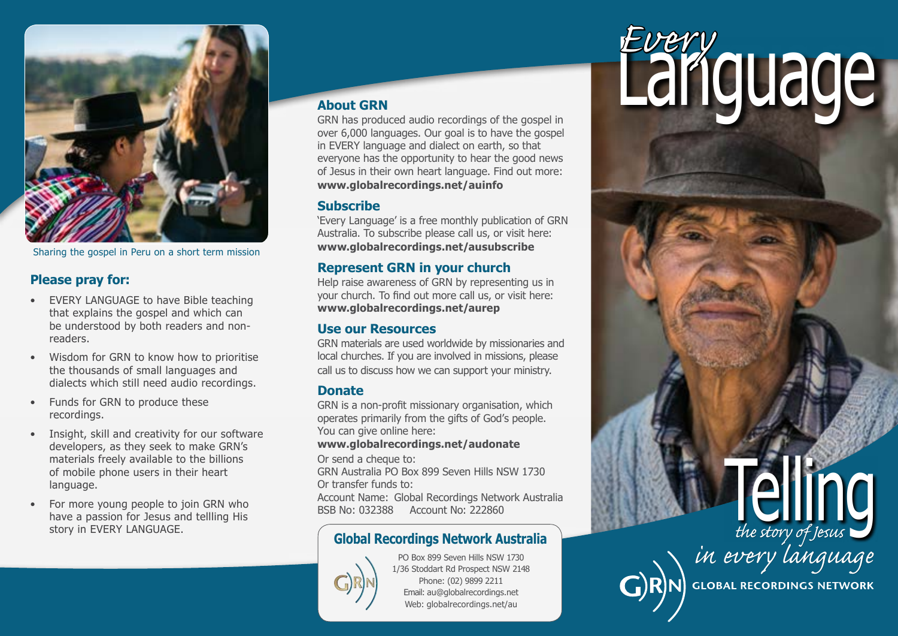

Sharing the gospel in Peru on a short term mission

### **Please pray for:**

- EVERY LANGUAGE to have Bible teaching that explains the gospel and which can be understood by both readers and nonreaders.
- Wisdom for GRN to know how to prioritise the thousands of small languages and dialects which still need audio recordings.
- Funds for GRN to produce these recordings.
- Insight, skill and creativity for our software developers, as they seek to make GRN's materials freely available to the billions of mobile phone users in their heart language.
- For more young people to join GRN who have a passion for Jesus and tellling His story in EVERY LANGUAGE.

### **About GRN**

GRN has produced audio recordings of the gospel in over 6,000 languages. Our goal is to have the gospel in EVERY language and dialect on earth, so that everyone has the opportunity to hear the good news of Jesus in their own heart language. Find out more: **[www.globalrecordings.net/a](http://globalrecordings.net/en/about)uinfo**

### **Subscribe**

'Every Language' is a free monthly publication of GRN Australia. To subscribe please call us, or visit here: **[www.globalrecordings.net/ausubscribe](http://globalrecordings.net/en/subscribe/au)**

### **Represent GRN in your church**

Help raise awareness of GRN by representing us in your church. To find out more call us, or visit here: **[www.globalrecordings.net/](http://globalrecordings.net/en/subscribe/au)aurep**

### **Use our Resources**

GRN materials are used worldwide by missionaries and local churches. If you are involved in missions, please call us to discuss how we can support your ministry.

### **Donate**

GRN is a non-profit missionary organisation, which operates primarily from the gifts of God's people. You can give online here:

#### **[www.globalrecordings.net/audonate](http://globalrecordings.net/en/audonate)**

Or send a cheque to:

GRN Australia PO Box 899 Seven Hills NSW 1730 Or transfer funds to:

Account Name: Global Recordings Network Australia BSB No: 032388 Account No: 222860



PO Box 899 Seven Hills NSW 1730 1/36 Stoddart Rd Prospect NSW 2148 Phone: (02) 9899 2211 Email: au@globalrecordings.net Web: globalrecordings.net/au

# Language *Every*

# Transfer funds to:<br>
Ount Name: Global Recordings Network Australia<br> **Global Recordings Network Australia**<br> **Global Recordings Network Australia**



**GLOBAL RECORDINGS NETWORK**